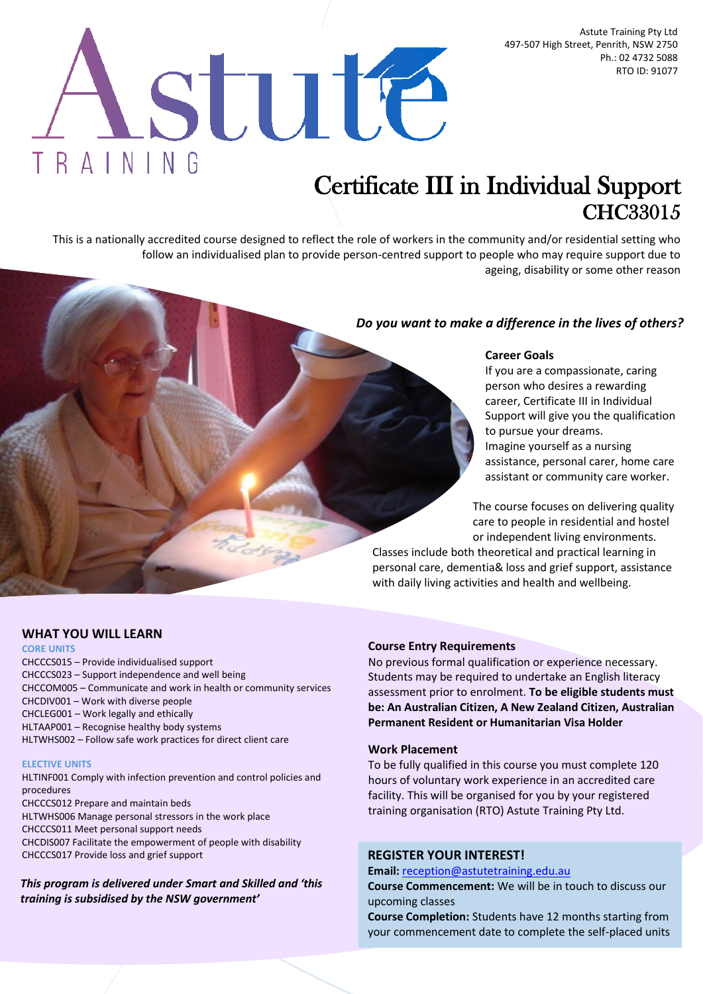Astute Training Pty Ltd 497-507 High Street, Penrith, NSW 2750 Ph.: 02 4732 5088 RTO ID: 91077

# stute TRAINING

# Certificate III in Individual Support CHC33015

This is a nationally accredited course designed to reflect the role of workers in the community and/or residential setting who follow an individualised plan to provide person-centred support to people who may require support due to ageing, disability or some other reason

# *Do you want to make a difference in the lives of others?*

## **Career Goals**

If you are a compassionate, caring person who desires a rewarding career, Certificate III in Individual Support will give you the qualification to pursue your dreams. Imagine yourself as a nursing assistance, personal carer, home care assistant or community care worker.

The course focuses on delivering quality care to people in residential and hostel or independent living environments.

Classes include both theoretical and practical learning in personal care, dementia& loss and grief support, assistance with daily living activities and health and wellbeing.

# **WHAT YOU WILL LEARN**

#### **CORE UNITS**

CHCCCS015 – Provide individualised support CHCCCS023 – Support independence and well being CHCCOM005 – Communicate and work in health or community services CHCDIV001 – Work with diverse people CHCLEG001 – Work legally and ethically HLTAAP001 – Recognise healthy body systems HLTWHS002 – Follow safe work practices for direct client care

#### **ELECTIVE UNITS**

HLTINF001 Comply with infection prevention and control policies and procedures CHCCCS012 Prepare and maintain beds

HLTWHS006 Manage personal stressors in the work place CHCCCS011 Meet personal support needs CHCDIS007 Facilitate the empowerment of people with disability

CHCCCS017 Provide loss and grief support

*This program is delivered under Smart and Skilled and 'this training is subsidised by the NSW government'*

#### **Course Entry Requirements**

No previous formal qualification or experience necessary. Students may be required to undertake an English literacy assessment prior to enrolment. **To be eligible students must be: An Australian Citizen, A New Zealand Citizen, Australian Permanent Resident or Humanitarian Visa Holder**

#### **Work Placement**

To be fully qualified in this course you must complete 120 hours of voluntary work experience in an accredited care facility. This will be organised for you by your registered training organisation (RTO) Astute Training Pty Ltd.

#### **REGISTER YOUR INTEREST!**

**Email:** [reception@astutetraining.edu.au](mailto:reception@astutetraining.edu.au)

**Course Commencement:** We will be in touch to discuss our upcoming classes

**Course Completion:** Students have 12 months starting from your commencement date to complete the self-placed units